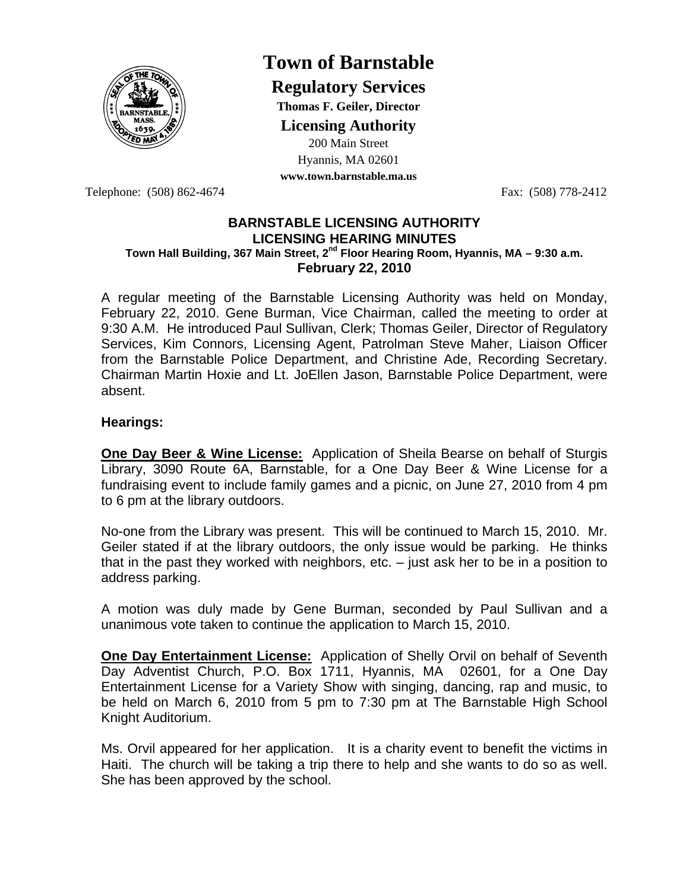

## **Town of Barnstable**

**Regulatory Services**

**Thomas F. Geiler, Director** 

**Licensing Authority**

200 Main Street Hyannis, MA 02601

**www.town.barnstable.ma.us**

Telephone: (508) 862-4674 Fax: (508) 778-2412

## **BARNSTABLE LICENSING AUTHORITY LICENSING HEARING MINUTES Town Hall Building, 367 Main Street, 2nd Floor Hearing Room, Hyannis, MA – 9:30 a.m. February 22, 2010**

A regular meeting of the Barnstable Licensing Authority was held on Monday, February 22, 2010. Gene Burman, Vice Chairman, called the meeting to order at 9:30 A.M. He introduced Paul Sullivan, Clerk; Thomas Geiler, Director of Regulatory Services, Kim Connors, Licensing Agent, Patrolman Steve Maher, Liaison Officer from the Barnstable Police Department, and Christine Ade, Recording Secretary. Chairman Martin Hoxie and Lt. JoEllen Jason, Barnstable Police Department, were absent.

## **Hearings:**

**One Day Beer & Wine License:** Application of Sheila Bearse on behalf of Sturgis Library, 3090 Route 6A, Barnstable, for a One Day Beer & Wine License for a fundraising event to include family games and a picnic, on June 27, 2010 from 4 pm to 6 pm at the library outdoors.

No-one from the Library was present. This will be continued to March 15, 2010. Mr. Geiler stated if at the library outdoors, the only issue would be parking. He thinks that in the past they worked with neighbors, etc. – just ask her to be in a position to address parking.

A motion was duly made by Gene Burman, seconded by Paul Sullivan and a unanimous vote taken to continue the application to March 15, 2010.

**One Day Entertainment License:** Application of Shelly Orvil on behalf of Seventh Day Adventist Church, P.O. Box 1711, Hyannis, MA 02601, for a One Day Entertainment License for a Variety Show with singing, dancing, rap and music, to be held on March 6, 2010 from 5 pm to 7:30 pm at The Barnstable High School Knight Auditorium.

Ms. Orvil appeared for her application. It is a charity event to benefit the victims in Haiti. The church will be taking a trip there to help and she wants to do so as well. She has been approved by the school.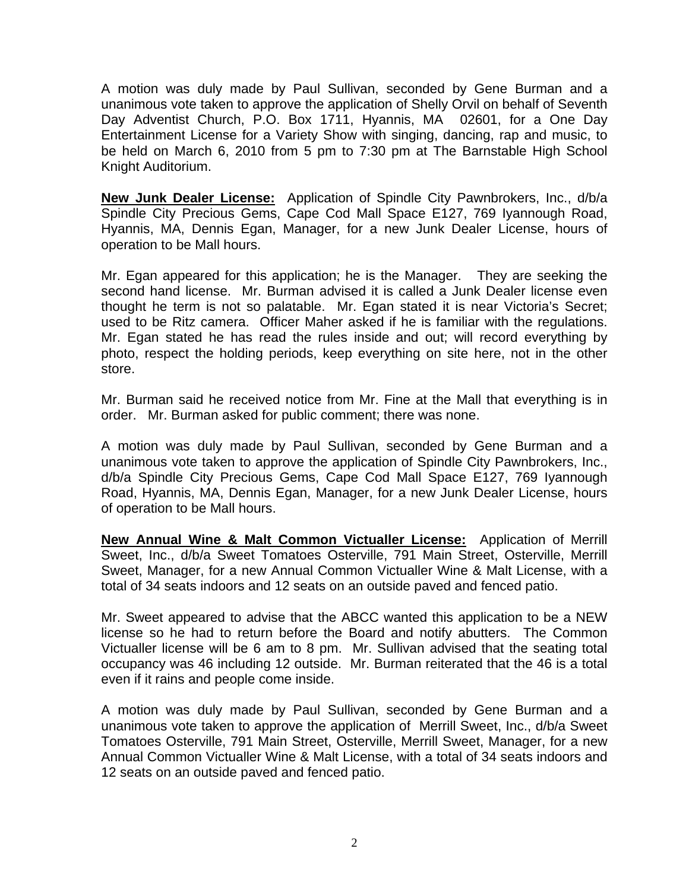A motion was duly made by Paul Sullivan, seconded by Gene Burman and a unanimous vote taken to approve the application of Shelly Orvil on behalf of Seventh Day Adventist Church, P.O. Box 1711, Hyannis, MA 02601, for a One Day Entertainment License for a Variety Show with singing, dancing, rap and music, to be held on March 6, 2010 from 5 pm to 7:30 pm at The Barnstable High School Knight Auditorium.

**New Junk Dealer License:** Application of Spindle City Pawnbrokers, Inc., d/b/a Spindle City Precious Gems, Cape Cod Mall Space E127, 769 Iyannough Road, Hyannis, MA, Dennis Egan, Manager, for a new Junk Dealer License, hours of operation to be Mall hours.

Mr. Egan appeared for this application; he is the Manager. They are seeking the second hand license. Mr. Burman advised it is called a Junk Dealer license even thought he term is not so palatable. Mr. Egan stated it is near Victoria's Secret; used to be Ritz camera. Officer Maher asked if he is familiar with the regulations. Mr. Egan stated he has read the rules inside and out; will record everything by photo, respect the holding periods, keep everything on site here, not in the other store.

Mr. Burman said he received notice from Mr. Fine at the Mall that everything is in order. Mr. Burman asked for public comment; there was none.

A motion was duly made by Paul Sullivan, seconded by Gene Burman and a unanimous vote taken to approve the application of Spindle City Pawnbrokers, Inc., d/b/a Spindle City Precious Gems, Cape Cod Mall Space E127, 769 Iyannough Road, Hyannis, MA, Dennis Egan, Manager, for a new Junk Dealer License, hours of operation to be Mall hours.

**New Annual Wine & Malt Common Victualler License:** Application of Merrill Sweet, Inc., d/b/a Sweet Tomatoes Osterville, 791 Main Street, Osterville, Merrill Sweet, Manager, for a new Annual Common Victualler Wine & Malt License, with a total of 34 seats indoors and 12 seats on an outside paved and fenced patio.

Mr. Sweet appeared to advise that the ABCC wanted this application to be a NEW license so he had to return before the Board and notify abutters. The Common Victualler license will be 6 am to 8 pm. Mr. Sullivan advised that the seating total occupancy was 46 including 12 outside. Mr. Burman reiterated that the 46 is a total even if it rains and people come inside.

A motion was duly made by Paul Sullivan, seconded by Gene Burman and a unanimous vote taken to approve the application of Merrill Sweet, Inc., d/b/a Sweet Tomatoes Osterville, 791 Main Street, Osterville, Merrill Sweet, Manager, for a new Annual Common Victualler Wine & Malt License, with a total of 34 seats indoors and 12 seats on an outside paved and fenced patio.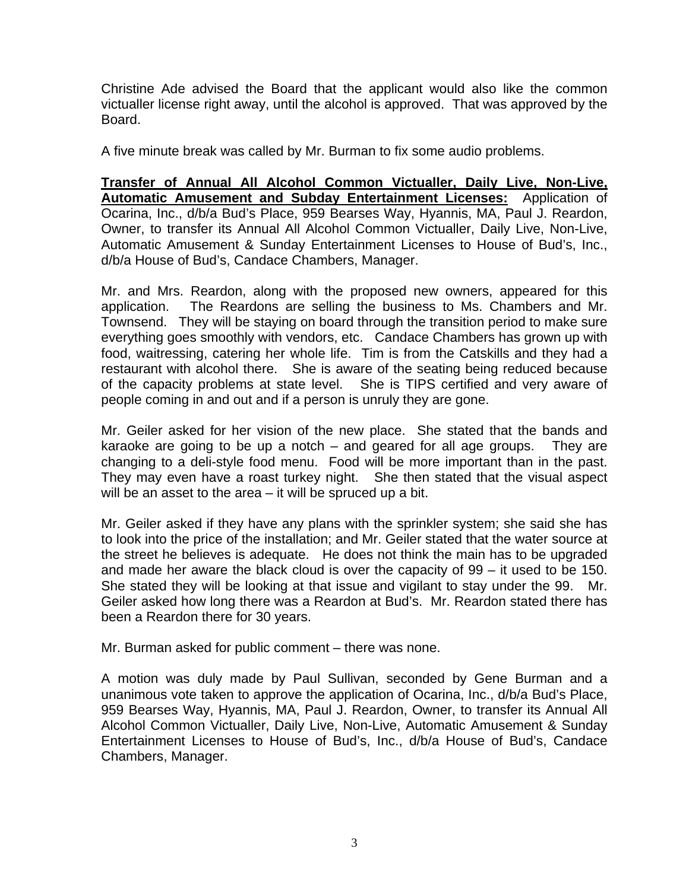Christine Ade advised the Board that the applicant would also like the common victualler license right away, until the alcohol is approved. That was approved by the Board.

A five minute break was called by Mr. Burman to fix some audio problems.

**Transfer of Annual All Alcohol Common Victualler, Daily Live, Non-Live, Automatic Amusement and Subday Entertainment Licenses:** Application of Ocarina, Inc., d/b/a Bud's Place, 959 Bearses Way, Hyannis, MA, Paul J. Reardon, Owner, to transfer its Annual All Alcohol Common Victualler, Daily Live, Non-Live, Automatic Amusement & Sunday Entertainment Licenses to House of Bud's, Inc., d/b/a House of Bud's, Candace Chambers, Manager.

Mr. and Mrs. Reardon, along with the proposed new owners, appeared for this application. The Reardons are selling the business to Ms. Chambers and Mr. Townsend. They will be staying on board through the transition period to make sure everything goes smoothly with vendors, etc. Candace Chambers has grown up with food, waitressing, catering her whole life. Tim is from the Catskills and they had a restaurant with alcohol there. She is aware of the seating being reduced because of the capacity problems at state level. She is TIPS certified and very aware of people coming in and out and if a person is unruly they are gone.

Mr. Geiler asked for her vision of the new place. She stated that the bands and karaoke are going to be up a notch – and geared for all age groups. They are changing to a deli-style food menu. Food will be more important than in the past. They may even have a roast turkey night. She then stated that the visual aspect will be an asset to the area – it will be spruced up a bit.

Mr. Geiler asked if they have any plans with the sprinkler system; she said she has to look into the price of the installation; and Mr. Geiler stated that the water source at the street he believes is adequate. He does not think the main has to be upgraded and made her aware the black cloud is over the capacity of 99 – it used to be 150. She stated they will be looking at that issue and vigilant to stay under the 99. Mr. Geiler asked how long there was a Reardon at Bud's. Mr. Reardon stated there has been a Reardon there for 30 years.

Mr. Burman asked for public comment – there was none.

A motion was duly made by Paul Sullivan, seconded by Gene Burman and a unanimous vote taken to approve the application of Ocarina, Inc., d/b/a Bud's Place, 959 Bearses Way, Hyannis, MA, Paul J. Reardon, Owner, to transfer its Annual All Alcohol Common Victualler, Daily Live, Non-Live, Automatic Amusement & Sunday Entertainment Licenses to House of Bud's, Inc., d/b/a House of Bud's, Candace Chambers, Manager.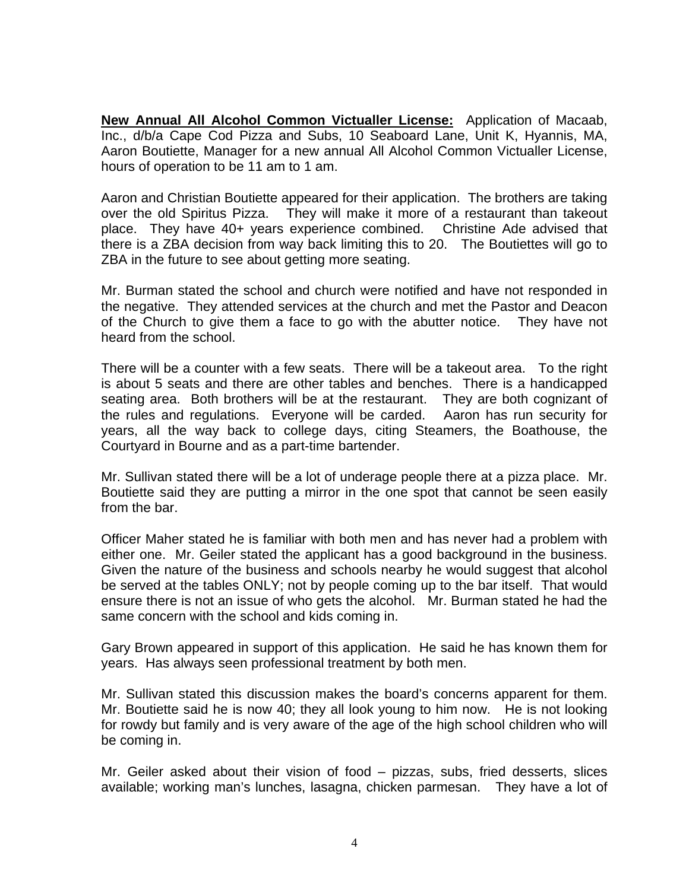**New Annual All Alcohol Common Victualler License:** Application of Macaab, Inc., d/b/a Cape Cod Pizza and Subs, 10 Seaboard Lane, Unit K, Hyannis, MA, Aaron Boutiette, Manager for a new annual All Alcohol Common Victualler License, hours of operation to be 11 am to 1 am.

Aaron and Christian Boutiette appeared for their application. The brothers are taking over the old Spiritus Pizza. They will make it more of a restaurant than takeout place. They have 40+ years experience combined. Christine Ade advised that there is a ZBA decision from way back limiting this to 20. The Boutiettes will go to ZBA in the future to see about getting more seating.

Mr. Burman stated the school and church were notified and have not responded in the negative. They attended services at the church and met the Pastor and Deacon of the Church to give them a face to go with the abutter notice. They have not heard from the school.

There will be a counter with a few seats. There will be a takeout area. To the right is about 5 seats and there are other tables and benches. There is a handicapped seating area. Both brothers will be at the restaurant. They are both cognizant of the rules and regulations. Everyone will be carded. Aaron has run security for years, all the way back to college days, citing Steamers, the Boathouse, the Courtyard in Bourne and as a part-time bartender.

Mr. Sullivan stated there will be a lot of underage people there at a pizza place. Mr. Boutiette said they are putting a mirror in the one spot that cannot be seen easily from the bar.

Officer Maher stated he is familiar with both men and has never had a problem with either one. Mr. Geiler stated the applicant has a good background in the business. Given the nature of the business and schools nearby he would suggest that alcohol be served at the tables ONLY; not by people coming up to the bar itself. That would ensure there is not an issue of who gets the alcohol. Mr. Burman stated he had the same concern with the school and kids coming in.

Gary Brown appeared in support of this application. He said he has known them for years. Has always seen professional treatment by both men.

Mr. Sullivan stated this discussion makes the board's concerns apparent for them. Mr. Boutiette said he is now 40; they all look young to him now. He is not looking for rowdy but family and is very aware of the age of the high school children who will be coming in.

Mr. Geiler asked about their vision of food – pizzas, subs, fried desserts, slices available; working man's lunches, lasagna, chicken parmesan. They have a lot of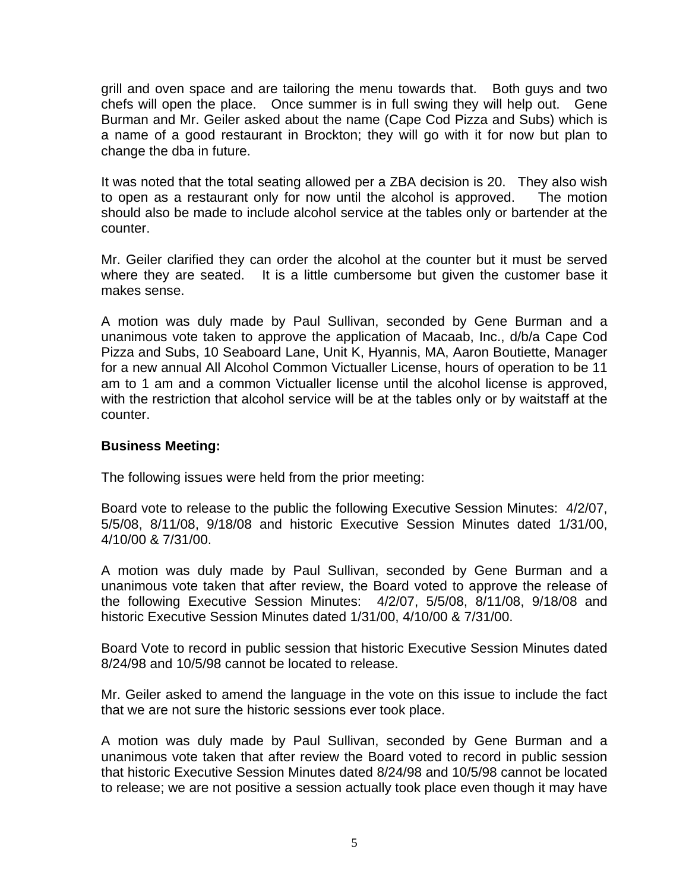grill and oven space and are tailoring the menu towards that. Both guys and two chefs will open the place. Once summer is in full swing they will help out. Gene Burman and Mr. Geiler asked about the name (Cape Cod Pizza and Subs) which is a name of a good restaurant in Brockton; they will go with it for now but plan to change the dba in future.

It was noted that the total seating allowed per a ZBA decision is 20. They also wish to open as a restaurant only for now until the alcohol is approved. The motion should also be made to include alcohol service at the tables only or bartender at the counter.

Mr. Geiler clarified they can order the alcohol at the counter but it must be served where they are seated. It is a little cumbersome but given the customer base it makes sense.

A motion was duly made by Paul Sullivan, seconded by Gene Burman and a unanimous vote taken to approve the application of Macaab, Inc., d/b/a Cape Cod Pizza and Subs, 10 Seaboard Lane, Unit K, Hyannis, MA, Aaron Boutiette, Manager for a new annual All Alcohol Common Victualler License, hours of operation to be 11 am to 1 am and a common Victualler license until the alcohol license is approved, with the restriction that alcohol service will be at the tables only or by waitstaff at the counter.

## **Business Meeting:**

The following issues were held from the prior meeting:

Board vote to release to the public the following Executive Session Minutes: 4/2/07, 5/5/08, 8/11/08, 9/18/08 and historic Executive Session Minutes dated 1/31/00, 4/10/00 & 7/31/00.

A motion was duly made by Paul Sullivan, seconded by Gene Burman and a unanimous vote taken that after review, the Board voted to approve the release of the following Executive Session Minutes: 4/2/07, 5/5/08, 8/11/08, 9/18/08 and historic Executive Session Minutes dated 1/31/00, 4/10/00 & 7/31/00.

Board Vote to record in public session that historic Executive Session Minutes dated 8/24/98 and 10/5/98 cannot be located to release.

Mr. Geiler asked to amend the language in the vote on this issue to include the fact that we are not sure the historic sessions ever took place.

A motion was duly made by Paul Sullivan, seconded by Gene Burman and a unanimous vote taken that after review the Board voted to record in public session that historic Executive Session Minutes dated 8/24/98 and 10/5/98 cannot be located to release; we are not positive a session actually took place even though it may have